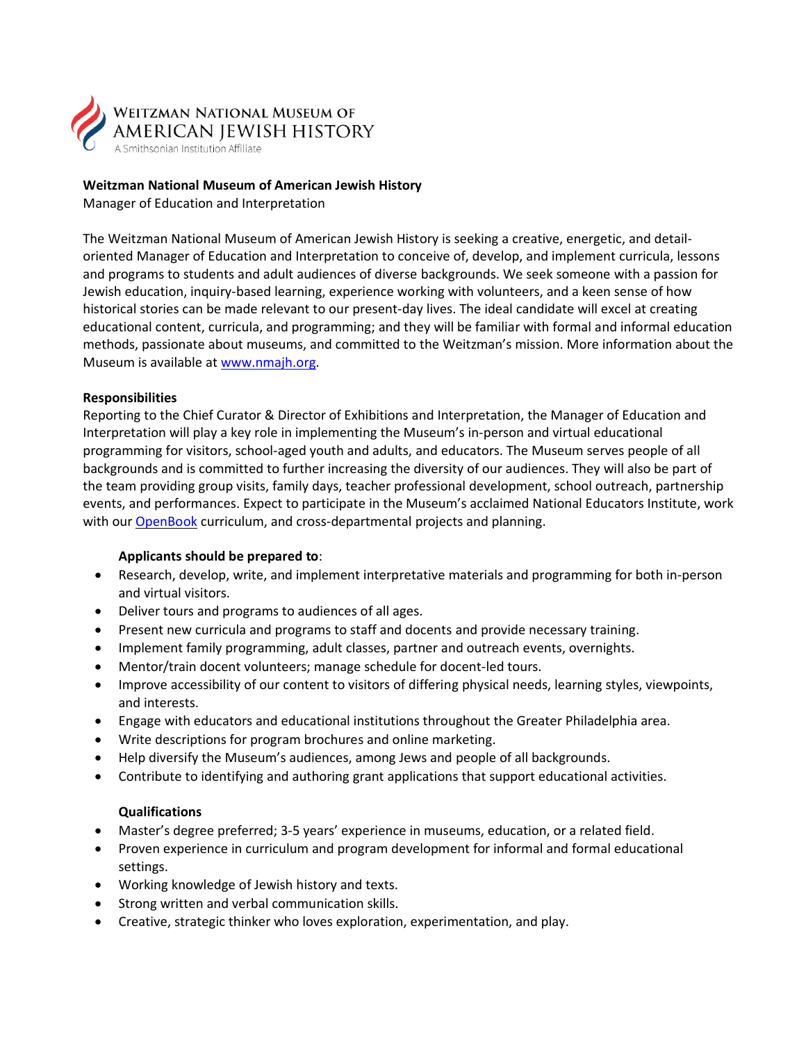

# **Weitzman National Museum of American Jewish History**

Manager of Education and Interpretation

The Weitzman National Museum of American Jewish History is seeking a creative, energetic, and detail‐ oriented Manager of Education and Interpretation to conceive of, develop, and implement curricula, lessons and programs to students and adult audiences of diverse backgrounds. We seek someone with a passion for Jewish education, inquiry-based learning, experience working with volunteers, and a keen sense of how historical stories can be made relevant to our present-day lives. The ideal candidate will excel at creating educational content, curricula, and programming; and they will be familiar with formal and informal education methods, passionate about museums, and committed to the Weitzman's mission. More information about the Museum is available at www.nmajh.org.

# **Responsibilities**

Reporting to the Chief Curator & Director of Exhibitions and Interpretation, the Manager of Education and Interpretation will play a key role in implementing the Museum's in-person and virtual educational programming for visitors, school-aged youth and adults, and educators. The Museum serves people of all backgrounds and is committed to further increasing the diversity of our audiences. They will also be part of the team providing group visits, family days, teacher professional development, school outreach, partnership events, and performances. Expect to participate in the Museum's acclaimed National Educators Institute, work with our [OpenBook](https://info.nmajh.org/openbook/) curriculum, and cross-departmental projects and planning.

# **Applicants should be prepared to**:

- Research, develop, write, and implement interpretative materials and programming for both in-person and virtual visitors.
- Deliver tours and programs to audiences of all ages.
- Present new curricula and programs to staff and docents and provide necessary training.
- Implement family programming, adult classes, partner and outreach events, overnights.
- Mentor/train docent volunteers; manage schedule for docent-led tours.
- Improve accessibility of our content to visitors of differing physical needs, learning styles, viewpoints, and interests.
- Engage with educators and educational institutions throughout the Greater Philadelphia area.
- Write descriptions for program brochures and online marketing.
- Help diversify the Museum's audiences, among Jews and people of all backgrounds.
- Contribute to identifying and authoring grant applications that support educational activities.

# **Qualifications**

- Master's degree preferred; 3-5 years' experience in museums, education, or a related field.
- Proven experience in curriculum and program development for informal and formal educational settings.
- Working knowledge of Jewish history and texts.
- Strong written and verbal communication skills.
- Creative, strategic thinker who loves exploration, experimentation, and play.